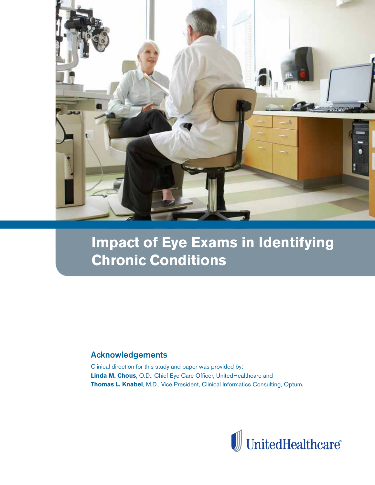

# **Impact of Eye Exams in Identifying Chronic Conditions**

### Acknowledgements

Clinical direction for this study and paper was provided by: **Linda M. Chous**, O.D., Chief Eye Care Officer, UnitedHealthcare and **Thomas L. Knabel**, M.D., Vice President, Clinical Informatics Consulting, Optum.

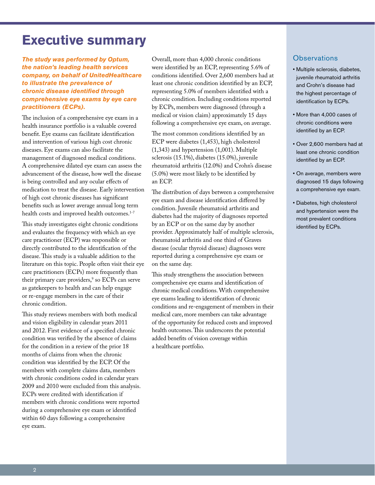## **Executive summary**

*The study was performed by Optum, the nation's leading health services company, on behalf of UnitedHealthcare to illustrate the prevalence of chronic disease identified through comprehensive eye exams by eye care practitioners (ECPs).* 

The inclusion of a comprehensive eye exam in a health insurance portfolio is a valuable covered benefit. Eye exams can facilitate identification and intervention of various high cost chronic diseases. Eye exams can also facilitate the management of diagnosed medical conditions. A comprehensive dilated eye exam can assess the advancement of the disease, how well the disease is being controlled and any ocular effects of medication to treat the disease. Early intervention of high cost chronic diseases has significant benefits such as lower average annual long term health costs and improved health outcomes.<sup>1-7</sup>

This study investigates eight chronic conditions and evaluates the frequency with which an eye care practitioner (ECP) was responsible or directly contributed to the identification of the disease. This study is a valuable addition to the literature on this topic. People often visit their eye care practitioners (ECPs) more frequently than their primary care providers,<sup>9</sup> so ECPs can serve as gatekeepers to health and can help engage or re-engage members in the care of their chronic condition.

This study reviews members with both medical and vision eligibility in calendar years 2011 and 2012. First evidence of a specified chronic condition was verified by the absence of claims for the condition in a review of the prior 18 months of claims from when the chronic condition was identified by the ECP. Of the members with complete claims data, members with chronic conditions coded in calendar years 2009 and 2010 were excluded from this analysis. ECPs were credited with identification if members with chronic conditions were reported during a comprehensive eye exam or identified within 60 days following a comprehensive eye exam.

Overall, more than 4,000 chronic conditions were identified by an ECP, representing 5.6% of conditions identified. Over 2,600 members had at least one chronic condition identified by an ECP, representing 5.0% of members identified with a chronic condition. Including conditions reported by ECPs, members were diagnosed (through a medical or vision claim) approximately 15 days following a comprehensive eye exam, on average.

The most common conditions identified by an ECP were diabetes (1,453), high cholesterol (1,343) and hypertension (1,001). Multiple sclerosis (15.1%), diabetes (15.0%), juvenile rheumatoid arthritis (12.0%) and Crohn's disease (5.0%) were most likely to be identified by an ECP.

The distribution of days between a comprehensive eye exam and disease identification differed by condition. Juvenile rheumatoid arthritis and diabetes had the majority of diagnoses reported by an ECP or on the same day by another provider. Approximately half of multiple sclerosis, rheumatoid arthritis and one third of Graves disease (ocular thyroid disease) diagnoses were reported during a comprehensive eye exam or on the same day.

This study strengthens the association between comprehensive eye exams and identification of chronic medical conditions. With comprehensive eye exams leading to identification of chronic conditions and re-engagement of members in their medical care, more members can take advantage of the opportunity for reduced costs and improved health outcomes. This underscores the potential added benefits of vision coverage within a healthcare portfolio.

#### **Observations**

- Multiple sclerosis, diabetes, juvenile rheumatoid arthritis and Crohn's disease had the highest percentage of identification by ECPs.
- More than 4,000 cases of chronic conditions were identified by an ECP.
- Over 2,600 members had at least one chronic condition identified by an ECP.
- On average, members were diagnosed 15 days following a comprehensive eye exam.
- Diabetes, high cholesterol and hypertension were the most prevalent conditions identified by ECPs.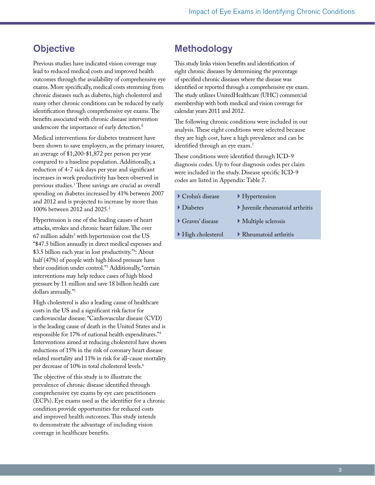## **Objective**

Previous studies have indicated vision coverage may lead to reduced medical costs and improved health outcomes through the availability of comprehensive eye exams. More specifically, medical costs stemming from chronic diseases such as diabetes, high cholesterol and many other chronic conditions can be reduced by early identification through comprehensive eye exams. The benefits associated with chronic disease intervention underscore the importance of early detection.<sup>8</sup>

Medical interventions for diabetes treatment have been shown to save employers, as the primary insurer, an average of \$1,200-\$1,872 per person per year compared to a baseline population. Additionally, a reduction of 4-7 sick days per year and significant increases in work productivity has been observed in previous studies.1 These savings are crucial as overall spending on diabetes increased by 41% between 2007 and 2012 and is projected to increase by more than 100% between 2012 and 2025.2

Hypertension is one of the leading causes of heart attacks, strokes and chronic heart failure. The over  $67$  million adults $^3$  with hypertension cost the US "\$47.5 billion annually in direct medical expenses and \$3.5 billion each year in lost productivity."4 : About half (47%) of people with high blood pressure have their condition under control."3 Additionally, "certain interventions may help reduce cases of high blood pressure by 11 million and save 18 billion health care dollars annually."5

High cholesterol is also a leading cause of healthcare costs in the US and a significant risk factor for cardiovascular disease. "Cardiovascular disease (CVD) is the leading cause of death in the United States and is responsible for 17% of national health expenditures."4 Interventions aimed at reducing cholesterol have shown reductions of 15% in the risk of coronary heart disease related mortality and 11% in risk for all-cause mortality per decrease of 10% in total cholesterol levels.<sup>6</sup>

The objective of this study is to illustrate the prevalence of chronic disease identified through comprehensive eye exams by eye care practitioners (ECPs). Eye exams used as the identifier for a chronic condition provide opportunities for reduced costs and improved health outcomes. This study intends to demonstrate the advantage of including vision coverage in healthcare benefits.

## Methodology

This study links vision benefits and identification of eight chronic diseases by determining the percentage of specified chronic diseases where the disease was identified or reported through a comprehensive eye exam. The study utilizes UnitedHealthcare (UHC) commercial membership with both medical and vision coverage for calendar years 2011 and 2012.

The following chronic conditions were included in our analysis. These eight conditions were selected because they are high cost, have a high prevalence and can be identified through an eye exam.<sup>7</sup>

These conditions were identified through ICD-9 diagnosis codes. Up to four diagnosis codes per claim were included in the study. Disease specific ICD-9 codes are listed in Appendix: Table 7.

| $\blacktriangleright$ Crohn's disease  | $\blacktriangleright$ Hypertension         |
|----------------------------------------|--------------------------------------------|
| $\triangleright$ Diabetes              | I Juvenile rheumatoid arthritis            |
| $\blacktriangleright$ Graves' disease  | $\blacktriangleright$ Multiple sclerosis   |
| $\blacktriangleright$ High cholesterol | $\blacktriangleright$ Rheumatoid arthritis |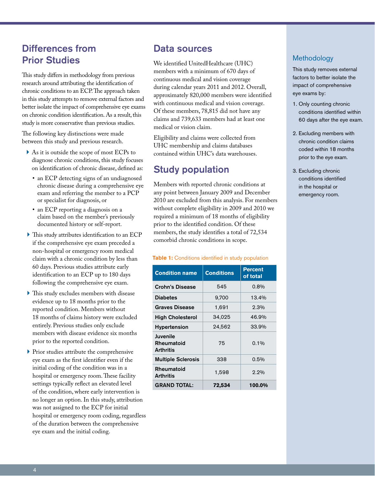## Differences from Prior Studies

This study differs in methodology from previous research around attributing the identification of chronic conditions to an ECP. The approach taken in this study attempts to remove external factors and better isolate the impact of comprehensive eye exams on chronic condition identification. As a result, this study is more conservative than previous studies.

The following key distinctions were made between this study and previous research.

- } As it is outside the scope of most ECPs to diagnose chronic conditions, this study focuses on identification of chronic disease, defined as:
	- an ECP detecting signs of an undiagnosed chronic disease during a comprehensive eye exam and referring the member to a PCP or specialist for diagnosis, or
	- an ECP reporting a diagnosis on a claim based on the member's previously documented history or self-report.
- } This study attributes identification to an ECP if the comprehensive eye exam preceded a non-hospital or emergency room medical claim with a chronic condition by less than 60 days. Previous studies attribute early identification to an ECP up to 180 days following the comprehensive eye exam.
- } This study excludes members with disease evidence up to 18 months prior to the reported condition. Members without 18 months of claims history were excluded entirely. Previous studies only exclude members with disease evidence six months prior to the reported condition.
- } Prior studies attribute the comprehensive eye exam as the first identifier even if the initial coding of the condition was in a hospital or emergency room. These facility settings typically reflect an elevated level of the condition, where early intervention is no longer an option. In this study, attribution was not assigned to the ECP for initial hospital or emergency room coding, regardless of the duration between the comprehensive eye exam and the initial coding.

### Data sources

We identified UnitedHealthcare (UHC) members with a minimum of 670 days of continuous medical and vision coverage during calendar years 2011 and 2012. Overall, approximately 820,000 members were identified with continuous medical and vision coverage. Of these members, 78,815 did not have any claims and 739,633 members had at least one medical or vision claim.

Eligibility and claims were collected from UHC membership and claims databases contained within UHC's data warehouses.

## Study population

Members with reported chronic conditions at any point between January 2009 and December 2010 are excluded from this analysis. For members without complete eligibility in 2009 and 2010 we required a minimum of 18 months of eligibility prior to the identified condition. Of these members, the study identifies a total of 72,534 comorbid chronic conditions in scope.

#### **Table 1:** Conditions identified in study population

| <b>Condition name</b>                      | <b>Conditions</b> | <b>Percent</b><br>of total |
|--------------------------------------------|-------------------|----------------------------|
| <b>Crohn's Disease</b>                     | 545               | 0.8%                       |
| <b>Diabetes</b>                            | 9,700             | 13.4%                      |
| <b>Graves Disease</b>                      | 1,691             | $2.3\%$                    |
| <b>High Cholesterol</b>                    | 34,025            | 46.9%                      |
| <b>Hypertension</b>                        | 24,562            | 33.9%                      |
| Juvenile<br>Rheumatoid<br><b>Arthritis</b> | 75                | $0.1\%$                    |
| <b>Multiple Sclerosis</b>                  | 338               | 0.5%                       |
| Rheumatoid<br><b>Arthritis</b>             | 1,598             | $2.2\%$                    |
| <b>GRAND TOTAL:</b>                        | 72,534            | 100.0%                     |

### Methodology

This study removes external factors to better isolate the impact of comprehensive eye exams by:

- 1. Only counting chronic conditions identified within 60 days after the eye exam.
- 2. Excluding members with chronic condition claims coded within 18 months prior to the eye exam.
- 3. Excluding chronic conditions identified in the hospital or emergency room.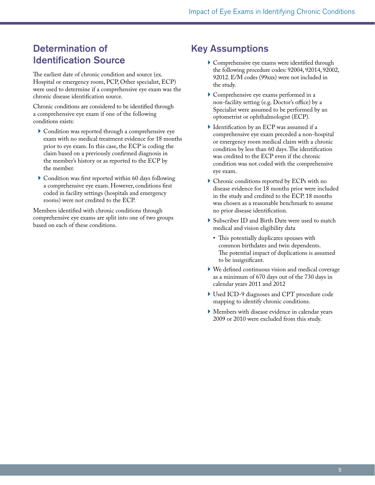## Determination of Identification Source

The earliest date of chronic condition and source (ex. Hospital or emergency room, PCP, Other specialist, ECP) were used to determine if a comprehensive eye exam was the chronic disease identification source.

Chronic conditions are considered to be identified through a comprehensive eye exam if one of the following conditions exists:

- } Condition was reported through a comprehensive eye exam with no medical treatment evidence for 18 months prior to eye exam. In this case, the ECP is coding the claim based on a previously confirmed diagnosis in the member's history or as reported to the ECP by the member.
- } Condition was first reported within 60 days following a comprehensive eye exam. However, conditions first coded in facility settings (hospitals and emergency rooms) were not credited to the ECP.

Members identified with chronic conditions through comprehensive eye exams are split into one of two groups based on each of these conditions.

## Key Assumptions

- } Comprehensive eye exams were identified through the following procedure codes: 92004, 92014, 92002, 92012. E/M codes (99xxx) were not included in the study.
- } Comprehensive eye exams performed in a non-facility setting (e.g. Doctor's office) by a Specialist were assumed to be performed by an optometrist or ophthalmologist (ECP).
- } Identification by an ECP was assumed if a comprehensive eye exam preceded a non-hospital or emergency room medical claim with a chronic condition by less than 60 days. The identification was credited to the ECP even if the chronic condition was not coded with the comprehensive eye exam.
- } Chronic conditions reported by ECPs with no disease evidence for 18 months prior were included in the study and credited to the ECP. 18 months was chosen as a reasonable benchmark to assume no prior disease identification.
- ▶ Subscriber ID and Birth Date were used to match medical and vision eligibility data
	- • This potentially duplicates spouses with common birthdates and twin dependents. The potential impact of duplications is assumed to be insignificant.
- } We defined continuous vision and medical coverage as a minimum of 670 days out of the 730 days in calendar years 2011 and 2012
- } Used ICD-9 diagnoses and CPT procedure code mapping to identify chronic conditions.
- } Members with disease evidence in calendar years 2009 or 2010 were excluded from this study.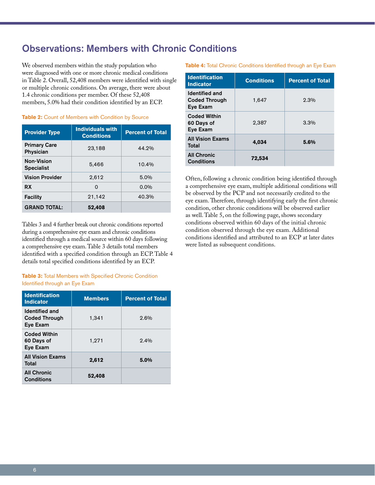## Observations: Members with Chronic Conditions

We observed members within the study population who were diagnosed with one or more chronic medical conditions in Table 2. Overall, 52,408 members were identified with single or multiple chronic conditions. On average, there were about 1.4 chronic conditions per member. Of these 52,408 members, 5.0% had their condition identified by an ECP.

| <b>Provider Type</b>             | <b>Individuals with</b><br><b>Conditions</b> | <b>Percent of Total</b> |
|----------------------------------|----------------------------------------------|-------------------------|
| <b>Primary Care</b><br>Physician | 23,188                                       | 44.2%                   |
| Non-Vision<br><b>Specialist</b>  | 5,466                                        | 10.4%                   |
| <b>Vision Provider</b>           | 2,612                                        | 5.0%                    |
| <b>RX</b>                        | $\Omega$                                     | $0.0\%$                 |
| <b>Facility</b>                  | 21,142                                       | 40.3%                   |
| <b>GRAND TOTAL:</b>              | 52,408                                       |                         |

#### Table 2: Count of Members with Condition by Source

Tables 3 and 4 further break out chronic conditions reported during a comprehensive eye exam and chronic conditions identified through a medical source within 60 days following a comprehensive eye exam. Table 3 details total members identified with a specified condition through an ECP. Table 4 details total specified conditions identified by an ECP.

**Table 3:** Total Members with Specified Chronic Condition Identified through an Eye Exam

| <b>Identification</b><br><b>Indicator</b>                 | <b>Members</b> | <b>Percent of Total</b> |
|-----------------------------------------------------------|----------------|-------------------------|
| <b>Identified and</b><br><b>Coded Through</b><br>Eye Exam | 1,341          | $2.6\%$                 |
| <b>Coded Within</b><br>60 Days of<br>Eve Exam             | 1,271          | $2.4\%$                 |
| <b>All Vision Exams</b><br>Total                          | 2,612          | 5.0%                    |
| <b>All Chronic</b><br><b>Conditions</b>                   | 52,408         |                         |

#### **Table 4:** Total Chronic Conditions Identified through an Eye Exam

| <b>Identification</b><br><b>Indicator</b>                 | <b>Conditions</b> | <b>Percent of Total</b> |
|-----------------------------------------------------------|-------------------|-------------------------|
| <b>Identified and</b><br><b>Coded Through</b><br>Eye Exam | 1,647             | $2.3\%$                 |
| <b>Coded Within</b><br>60 Days of<br>Eye Exam             | 2.387             | 3.3%                    |
| <b>All Vision Exams</b><br>Total                          | 4,034             | 5.6%                    |
| <b>All Chronic</b><br><b>Conditions</b>                   | 72,534            |                         |

Often, following a chronic condition being identified through a comprehensive eye exam, multiple additional conditions will be observed by the PCP and not necessarily credited to the eye exam. Therefore, through identifying early the first chronic condition, other chronic conditions will be observed earlier as well. Table 5, on the following page, shows secondary conditions observed within 60 days of the initial chronic condition observed through the eye exam. Additional conditions identified and attributed to an ECP at later dates were listed as subsequent conditions.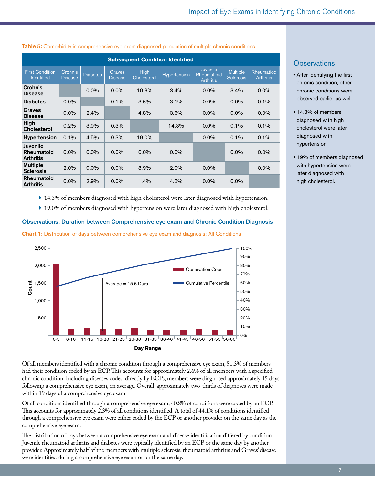| <b>Subsequent Condition Identified</b>      |                           |                 |                                 |                     |              |                                                    |                                     |                                |
|---------------------------------------------|---------------------------|-----------------|---------------------------------|---------------------|--------------|----------------------------------------------------|-------------------------------------|--------------------------------|
| <b>First Condition</b><br><b>Identified</b> | Crohn's<br><b>Disease</b> | <b>Diabetes</b> | <b>Graves</b><br><b>Disease</b> | High<br>Cholesteral | Hypertension | <b>Juvenile</b><br>Rheumatioid<br><b>Arthritis</b> | <b>Multiple</b><br><b>Sclerosis</b> | Rheumatiod<br><b>Arthritis</b> |
| Crohn's<br>Disease                          |                           | $0.0\%$         | $0.0\%$                         | 10.3%               | $3.4\%$      | $0.0\%$                                            | 3.4%                                | $0.0\%$                        |
| <b>Diabetes</b>                             | $0.0\%$                   |                 | 0.1%                            | 3.6%                | 3.1%         | $0.0\%$                                            | $0.0\%$                             | $0.1\%$                        |
| <b>Graves</b><br><b>Disease</b>             | $0.0\%$                   | 2.4%            |                                 | 4.8%                | $3.6\%$      | $0.0\%$                                            | $0.0\%$                             | $0.0\%$                        |
| High<br>Cholesterol                         | 0.2%                      | 3.9%            | 0.3%                            |                     | 14.3%        | $0.0\%$                                            | $0.1\%$                             | $0.1\%$                        |
| <b>Hypertension</b>                         | 0.1%                      | 4.5%            | 0.3%                            | 19.0%               |              | $0.0\%$                                            | $0.1\%$                             | $0.1\%$                        |
| Juvenile<br>Rheumatoid<br><b>Arthritis</b>  | $0.0\%$                   | $0.0\%$         | $0.0\%$                         | $0.0\%$             | $0.0\%$      |                                                    | $0.0\%$                             | $0.0\%$                        |
| <b>Multiple</b><br><b>Sclerosis</b>         | 2.0%                      | $0.0\%$         | $0.0\%$                         | 3.9%                | $2.0\%$      | $0.0\%$                                            |                                     | $0.0\%$                        |
| Rheumatoid<br><b>Arthritis</b>              | $0.0\%$                   | 2.9%            | $0.0\%$                         | 1.4%                | 4.3%         | $0.0\%$                                            | $0.0\%$                             |                                |

#### **Table 5:** Comorbidity in comprehensive eye exam diagnosed population of multiple chronic conditions

- } 14.3% of members diagnosed with high cholesterol were later diagnosed with hypertension.
- } 19.0% of members diagnosed with hypertension were later diagnosed with high cholesterol.

#### Observations: Duration between Comprehensive eye exam and Chronic Condition Diagnosis

**Chart 1:** Distribution of days between comprehensive eye exam and diagnosis: All Conditions



Of all members identified with a chronic condition through a comprehensive eye exam, 51.3% of members had their condition coded by an ECP. This accounts for approximately 2.6% of all members with a specified chronic condition. Including diseases coded directly by ECPs, members were diagnosed approximately 15 days following a comprehensive eye exam, on average. Overall, approximately two-thirds of diagnoses were made within 19 days of a comprehensive eye exam

Of all conditions identified through a comprehensive eye exam, 40.8% of conditions were coded by an ECP. This accounts for approximately 2.3% of all conditions identified. A total of 44.1% of conditions identified through a comprehensive eye exam were either coded by the ECP or another provider on the same day as the comprehensive eye exam.

The distribution of days between a comprehensive eye exam and disease identification differed by condition. Juvenile rheumatoid arthritis and diabetes were typically identified by an ECP or the same day by another provider. Approximately half of the members with multiple sclerosis, rheumatoid arthritis and Graves' disease were identified during a comprehensive eye exam or on the same day.

#### **Observations**

- After identifying the first chronic condition, other chronic conditions were observed earlier as well.
- 14.3% of members diagnosed with high cholesterol were later diagnosed with hypertension
- 19% of members diagnosed with hypertension were later diagnosed with high cholesterol.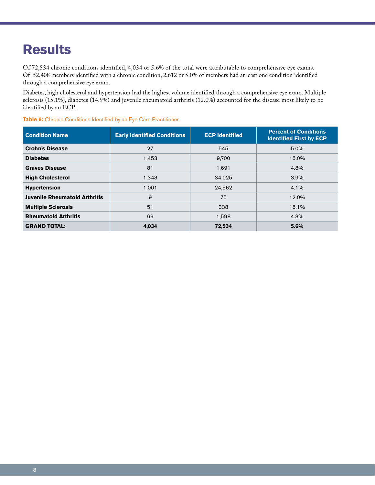# **Results**

Of 72,534 chronic conditions identified, 4,034 or 5.6% of the total were attributable to comprehensive eye exams. Of 52,408 members identified with a chronic condition, 2,612 or 5.0% of members had at least one condition identified through a comprehensive eye exam.

Diabetes, high cholesterol and hypertension had the highest volume identified through a comprehensive eye exam. Multiple sclerosis (15.1%), diabetes (14.9%) and juvenile rheumatoid arthritis (12.0%) accounted for the disease most likely to be identified by an ECP.

| <b>Condition Name</b>                | <b>Early Identified Conditions</b> | <b>ECP Identified</b> | <b>Percent of Conditions</b><br><b>Identified First by ECP</b> |
|--------------------------------------|------------------------------------|-----------------------|----------------------------------------------------------------|
| <b>Crohn's Disease</b>               | 27                                 | 545                   | 5.0%                                                           |
| <b>Diabetes</b>                      | 1,453                              | 9,700                 | 15.0%                                                          |
| <b>Graves Disease</b>                | 81                                 | 1,691                 | 4.8%                                                           |
| <b>High Cholesterol</b>              | 1,343                              | 34,025                | $3.9\%$                                                        |
| <b>Hypertension</b>                  | 1,001                              | 24,562                | 4.1%                                                           |
| <b>Juvenile Rheumatoid Arthritis</b> | 9                                  | 75                    | 12.0%                                                          |
| <b>Multiple Sclerosis</b>            | 51                                 | 338                   | 15.1%                                                          |
| <b>Rheumatoid Arthritis</b>          | 69                                 | 1,598                 | 4.3%                                                           |
| <b>GRAND TOTAL:</b>                  | 4.034                              | 72,534                | 5.6%                                                           |

**Table 6:** Chronic Conditions Identified by an Eye Care Practitioner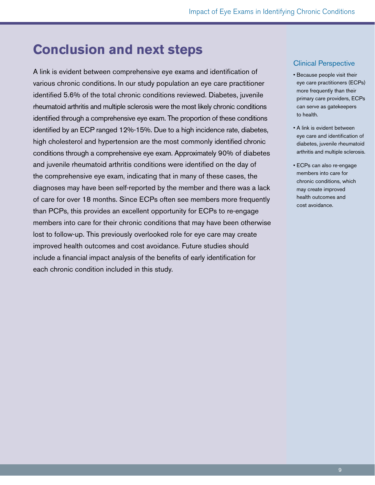## **Conclusion and next steps**

A link is evident between comprehensive eye exams and identification of various chronic conditions. In our study population an eye care practitioner identified 5.6% of the total chronic conditions reviewed. Diabetes, juvenile rheumatoid arthritis and multiple sclerosis were the most likely chronic conditions identified through a comprehensive eye exam. The proportion of these conditions identified by an ECP ranged 12%-15%. Due to a high incidence rate, diabetes, high cholesterol and hypertension are the most commonly identified chronic conditions through a comprehensive eye exam. Approximately 90% of diabetes and juvenile rheumatoid arthritis conditions were identified on the day of the comprehensive eye exam, indicating that in many of these cases, the diagnoses may have been self-reported by the member and there was a lack of care for over 18 months. Since ECPs often see members more frequently than PCPs, this provides an excellent opportunity for ECPs to re-engage members into care for their chronic conditions that may have been otherwise lost to follow-up. This previously overlooked role for eye care may create improved health outcomes and cost avoidance. Future studies should include a financial impact analysis of the benefits of early identification for each chronic condition included in this study.

#### Clinical Perspective

- Because people visit their eye care practitioners (ECPs) more frequently than their primary care providers, ECPs can serve as gatekeepers to health.
- A link is evident between eye care and identification of diabetes, juvenile rheumatoid arthritis and multiple sclerosis.
- ECPs can also re-engage members into care for chronic conditions, which may create improved health outcomes and cost avoidance.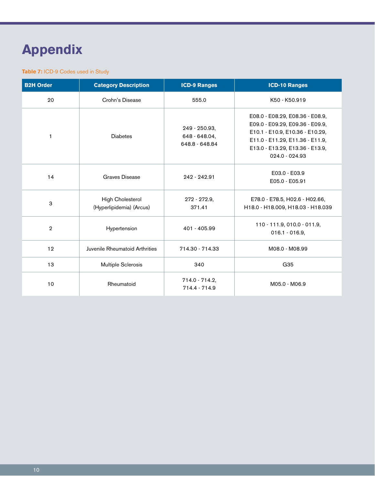# **Appendix**

#### **Table 7: ICD-9 Codes used in Study**

| <b>B2H Order</b> | <b>Category Description</b>                  | <b>ICD-9 Ranges</b>                              | <b>ICD-10 Ranges</b>                                                                                                                                                                          |
|------------------|----------------------------------------------|--------------------------------------------------|-----------------------------------------------------------------------------------------------------------------------------------------------------------------------------------------------|
| 20               | Crohn's Disease                              | 555.0                                            | K50 - K50.919                                                                                                                                                                                 |
| $\mathbf{1}$     | <b>Diabetes</b>                              | 249 - 250.93,<br>648 - 648.04,<br>648.8 - 648.84 | E08.0 - E08.29, E08.36 - E08.9,<br>E09.0 - E09.29, E09.36 - E09.9,<br>E10.1 - E10.9, E10.36 - E10.29,<br>E11.0 - E11.29, E11.36 - E11.9,<br>E13.0 - E13.29, E13.36 - E13.9,<br>024.0 - 024.93 |
| 14               | Graves Disease                               | 242 - 242.91                                     | E03.0 - E03.9<br>E05.0 - E05.91                                                                                                                                                               |
| 3                | High Cholesterol<br>(Hyperlipidemia) (Arcus) | $272 - 272.9$<br>371.41                          | E78.0 - E78.5, H02.6 - H02.66,<br>H18.0 - H18.009, H18.03 - H18.039                                                                                                                           |
| $\overline{2}$   | Hypertension                                 | 401 - 405.99                                     | 110 - 111.9, 010.0 - 011.9,<br>$016.1 - 016.9,$                                                                                                                                               |
| 12               | Juvenile Rheumatoid Arthrities               | 714.30 - 714.33                                  | M08.0 - M08.99                                                                                                                                                                                |
| 13               | Multiple Sclerosis                           | 340                                              | G35                                                                                                                                                                                           |
| 10               | Rheumatoid                                   | 714.0 - 714.2,<br>714.4 - 714.9                  | M05.0 - M06.9                                                                                                                                                                                 |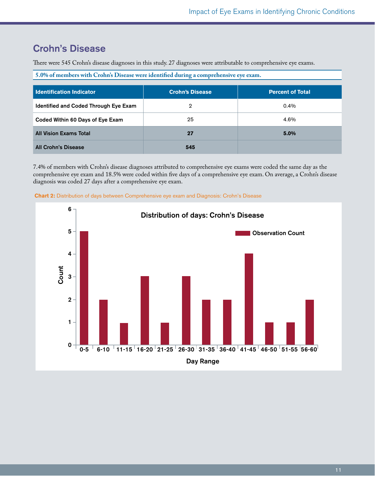## Crohn's Disease

There were 545 Crohn's disease diagnoses in this study. 27 diagnoses were attributable to comprehensive eye exams.

**5.0% of members with Crohn's Disease were identified during a comprehensive eye exam.**

| l Identification Indicator            | <b>Crohn's Disease</b> | <b>Percent of Total</b> |
|---------------------------------------|------------------------|-------------------------|
| Identified and Coded Through Eye Exam | 2                      | $0.4\%$                 |
| Coded Within 60 Days of Eye Exam      | 25                     | 4.6%                    |
| <b>All Vision Exams Total</b>         | 27                     | 5.0%                    |
| <b>All Crohn's Disease</b>            | 545                    |                         |

7.4% of members with Crohn's disease diagnoses attributed to comprehensive eye exams were coded the same day as the comprehensive eye exam and 18.5% were coded within five days of a comprehensive eye exam. On average, a Crohn's disease diagnosis was coded 27 days after a comprehensive eye exam.



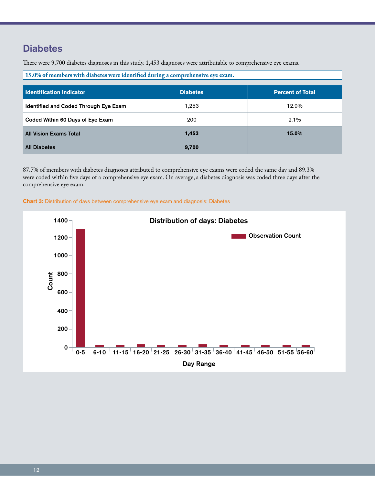## **Diabetes**

There were 9,700 diabetes diagnoses in this study. 1,453 diagnoses were attributable to comprehensive eye exams.

| 15.0% of members with diabetes were identified during a comprehensive eye exam. |                 |                         |  |  |
|---------------------------------------------------------------------------------|-----------------|-------------------------|--|--|
|                                                                                 |                 |                         |  |  |
| <b>Identification Indicator</b>                                                 | <b>Diabetes</b> | <b>Percent of Total</b> |  |  |
| Identified and Coded Through Eye Exam                                           | 1,253           | 12.9%                   |  |  |
| Coded Within 60 Days of Eye Exam                                                | 200             | 2.1%                    |  |  |
| <b>All Vision Exams Total</b>                                                   | 1,453           | 15.0%                   |  |  |
| <b>All Diabetes</b>                                                             | 9,700           |                         |  |  |

87.7% of members with diabetes diagnoses attributed to comprehensive eye exams were coded the same day and 89.3% were coded within five days of a comprehensive eye exam. On average, a diabetes diagnosis was coded three days after the comprehensive eye exam.



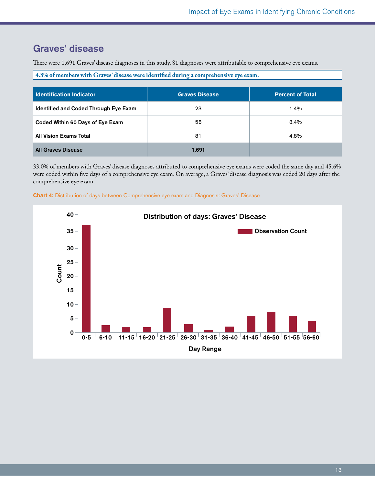## Graves' disease

There were 1,691 Graves' disease diagnoses in this study. 81 diagnoses were attributable to comprehensive eye exams.

**4.8% of members with Graves' disease were identified during a comprehensive eye exam.**

| l Identification Indicator            | <b>Graves Disease</b> | <b>Percent of Total</b> |
|---------------------------------------|-----------------------|-------------------------|
| Identified and Coded Through Eye Exam | 23                    | 1.4%                    |
| Coded Within 60 Days of Eye Exam      | 58                    | $3.4\%$                 |
| <b>All Vision Exams Total</b>         | 81                    | 4.8%                    |
| <b>All Graves Disease</b>             | 1,691                 |                         |

33.0% of members with Graves' disease diagnoses attributed to comprehensive eye exams were coded the same day and 45.6% were coded within five days of a comprehensive eye exam. On average, a Graves' disease diagnosis was coded 20 days after the comprehensive eye exam.



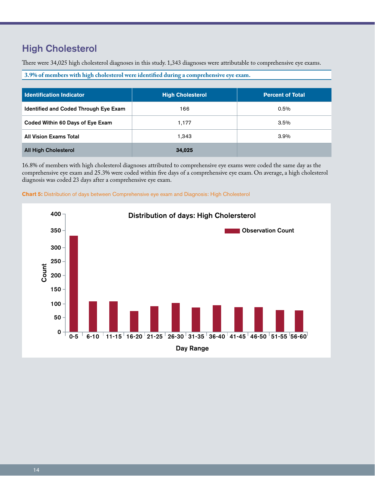## High Cholesterol

There were 34,025 high cholesterol diagnoses in this study. 1,343 diagnoses were attributable to comprehensive eye exams.

**3.9% of members with high cholesterol were identified during a comprehensive eye exam.**

| l Identification Indicator            | <b>High Cholesterol</b> | <b>Percent of Total</b> |
|---------------------------------------|-------------------------|-------------------------|
| Identified and Coded Through Eye Exam | 166                     | $0.5\%$                 |
| Coded Within 60 Days of Eye Exam      | 1,177                   | $3.5\%$                 |
| <b>All Vision Exams Total</b>         | 1.343                   | $3.9\%$                 |
| <b>All High Cholesterol</b>           | 34,025                  |                         |

16.8% of members with high cholesterol diagnoses attributed to comprehensive eye exams were coded the same day as the comprehensive eye exam and 25.3% were coded within five days of a comprehensive eye exam. On average, a high cholesterol diagnosis was coded 23 days after a comprehensive eye exam.



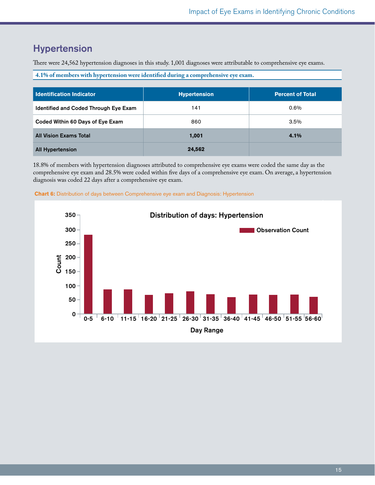## Hypertension

There were 24,562 hypertension diagnoses in this study. 1,001 diagnoses were attributable to comprehensive eye exams.

**4.1% of members with hypertension were identified during a comprehensive eye exam.**

| l Identification Indicator            | <b>Hypertension</b> | <b>Percent of Total</b> |
|---------------------------------------|---------------------|-------------------------|
| Identified and Coded Through Eye Exam | 141                 | $0.6\%$                 |
| Coded Within 60 Days of Eye Exam      | 860                 | $3.5\%$                 |
| <b>All Vision Exams Total</b>         | 1,001               | 4.1%                    |
| <b>All Hypertension</b>               | 24,562              |                         |

18.8% of members with hypertension diagnoses attributed to comprehensive eye exams were coded the same day as the comprehensive eye exam and 28.5% were coded within five days of a comprehensive eye exam. On average, a hypertension diagnosis was coded 22 days after a comprehensive eye exam.



 **Chart 6:** Distribution of days between Comprehensive eye exam and Diagnosis: Hypertension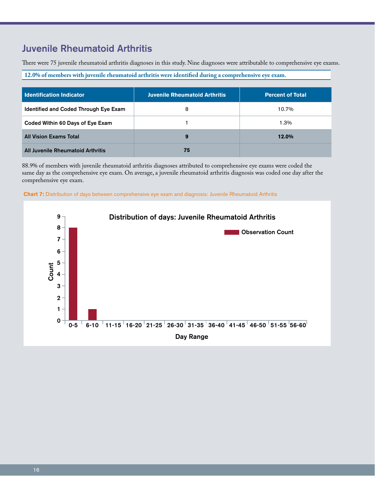## Juvenile Rheumatoid Arthritis

There were 75 juvenile rheumatoid arthritis diagnoses in this study. Nine diagnoses were attributable to comprehensive eye exams.

**12.0% of members with juvenile rheumatoid arthritis were identified during a comprehensive eye exam.**

| <b>Identification Indicator</b>       | <b>Juvenile Rheumatoid Arthritis</b> | <b>Percent of Total</b> |
|---------------------------------------|--------------------------------------|-------------------------|
| Identified and Coded Through Eye Exam | 8                                    | 10.7%                   |
| Coded Within 60 Days of Eye Exam      |                                      | 1.3%                    |
| <b>All Vision Exams Total</b>         | 9                                    | 12.0%                   |
| All Juvenile Rheumatoid Arthritis     | 75                                   |                         |

88.9% of members with juvenile rheumatoid arthritis diagnoses attributed to comprehensive eye exams were coded the same day as the comprehensive eye exam. On average, a juvenile rheumatoid arthritis diagnosis was coded one day after the comprehensive eye exam.

 **Chart 7:** Distribution of days between comprehensive eye exam and diagnosis: Juvenile Rheumatoid Arthritis

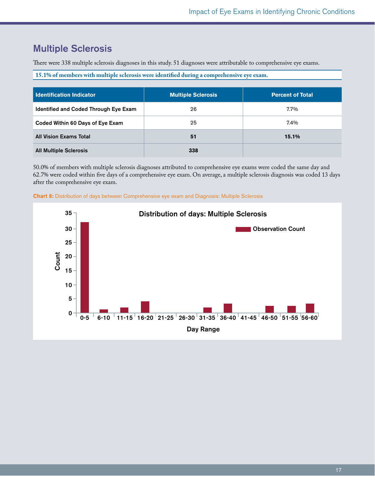## Multiple Sclerosis

There were 338 multiple sclerosis diagnoses in this study. 51 diagnoses were attributable to comprehensive eye exams.

**15.1% of members with multiple sclerosis were identified during a comprehensive eye exam.**

| <b>Identification Indicator</b>       | <b>Multiple Sclerosis</b> | <b>Percent of Total</b> |
|---------------------------------------|---------------------------|-------------------------|
| Identified and Coded Through Eye Exam | 26                        | 7.7%                    |
| Coded Within 60 Days of Eye Exam      | 25                        | $7.4\%$                 |
| <b>All Vision Exams Total</b>         | 51                        | 15.1%                   |
| <b>All Multiple Sclerosis</b>         | 338                       |                         |

50.0% of members with multiple sclerosis diagnoses attributed to comprehensive eye exams were coded the same day and 62.7% were coded within five days of a comprehensive eye exam. On average, a multiple sclerosis diagnosis was coded 13 days after the comprehensive eye exam.



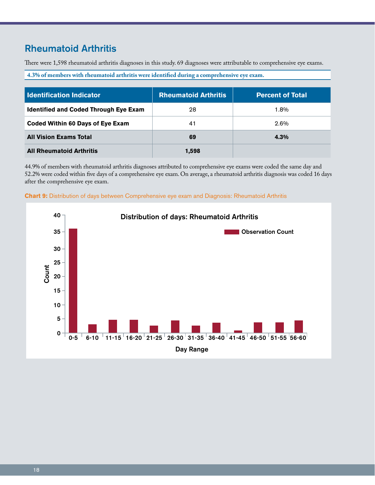## Rheumatoid Arthritis

There were 1,598 rheumatoid arthritis diagnoses in this study. 69 diagnoses were attributable to comprehensive eye exams.

**4.3% of members with rheumatoid arthritis were identified during a comprehensive eye exam.**

| <b>Identification Indicator</b>              | <b>Rheumatoid Arthritis</b> | <b>Percent of Total</b> |
|----------------------------------------------|-----------------------------|-------------------------|
| <b>Identified and Coded Through Eye Exam</b> | 28                          | 1.8%                    |
| Coded Within 60 Days of Eye Exam             | 41                          | 2.6%                    |
| <b>All Vision Exams Total</b>                | 69                          | 4.3%                    |
| <b>All Rheumatoid Arthritis</b>              | 1,598                       |                         |

44.9% of members with rheumatoid arthritis diagnoses attributed to comprehensive eye exams were coded the same day and 52.2% were coded within five days of a comprehensive eye exam. On average, a rheumatoid arthritis diagnosis was coded 16 days after the comprehensive eye exam.



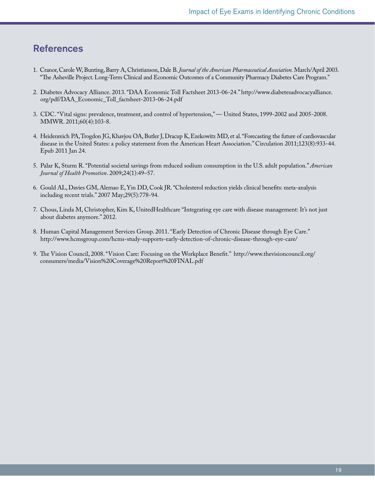### **References**

- 1. Cranor, Carole W, Bunting, Barry A, Christianson, Dale B. *Journal of the American Pharmaceutical Association.* March/April 2003. "The Asheville Project. Long-Term Clinical and Economic Outcomes of a Community Pharmacy Diabetes Care Program."
- 2. Diabetes Advocacy Alliance. 2013. "DAA Economic Toll Factsheet 2013-06-24." http://www.diabetesadvocacyalliance. org/pdf/DAA\_Economic\_Toll\_factsheet-2013-06-24.pdf
- 3. CDC. "Vital signs: prevalence, treatment, and control of hypertension," United States, 1999-2002 and 2005-2008. MMWR. 2011;60(4):103-8.
- 4. Heidenreich PA, Trogdon JG, Khavjou OA, Butler J, Dracup K, Ezekowitz MD, et al. "Forecasting the future of cardiovascular disease in the United States: a policy statement from the American Heart Association." Circulation 2011;123(8):933-44. Epub 2011 Jan 24.
- 5. Palar K, Sturm R. "Potential societal savings from reduced sodium consumption in the U.S. adult population." *American Journal of Health Promotion*. 2009;24(1):49–57.
- 6. Gould AL, Davies GM, Alemao E, Yin DD, Cook JR. "Cholesterol reduction yields clinical benefits: meta-analysis including recent trials." 2007 May;29(5):778-94.
- 7. Chous, Linda M, Christopher, Kim K, UnitedHealthcare "Integrating eye care with disease management: It's not just about diabetes anymore." 2012.
- 8. Human Capital Management Services Group. 2011. "Early Detection of Chronic Disease through Eye Care." http://www.hcmsgroup.com/hcms-study-supports-early-detection-of-chronic-disease-through-eye-care/
- 9. The Vision Council, 2008. "Vision Care: Focusing on the Workplace Benefit." http://www.thevisioncouncil.org/ consumers/media/Vision%20Coverage%20Report%20FINAL.pdf